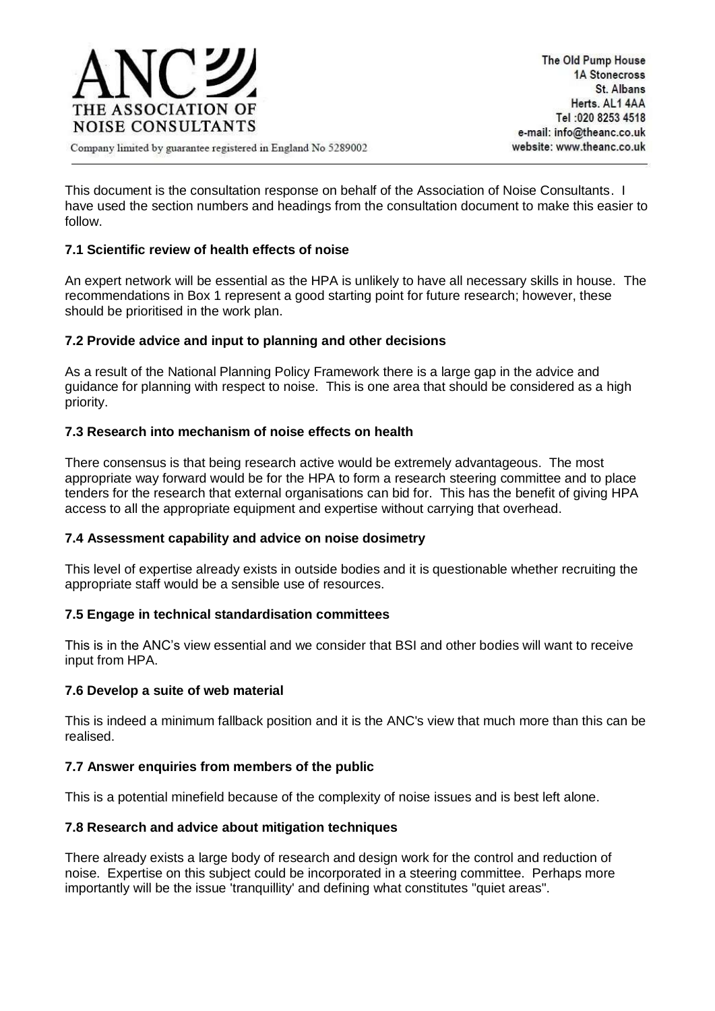

Company limited by guarantee registered in England No 5289002

This document is the consultation response on behalf of the Association of Noise Consultants. I have used the section numbers and headings from the consultation document to make this easier to follow.

# **7.1 Scientific review of health effects of noise**

An expert network will be essential as the HPA is unlikely to have all necessary skills in house. The recommendations in Box 1 represent a good starting point for future research; however, these should be prioritised in the work plan.

## **7.2 Provide advice and input to planning and other decisions**

As a result of the National Planning Policy Framework there is a large gap in the advice and guidance for planning with respect to noise. This is one area that should be considered as a high priority.

## **7.3 Research into mechanism of noise effects on health**

There consensus is that being research active would be extremely advantageous. The most appropriate way forward would be for the HPA to form a research steering committee and to place tenders for the research that external organisations can bid for. This has the benefit of giving HPA access to all the appropriate equipment and expertise without carrying that overhead.

### **7.4 Assessment capability and advice on noise dosimetry**

This level of expertise already exists in outside bodies and it is questionable whether recruiting the appropriate staff would be a sensible use of resources.

### **7.5 Engage in technical standardisation committees**

This is in the ANC's view essential and we consider that BSI and other bodies will want to receive input from HPA.

### **7.6 Develop a suite of web material**

This is indeed a minimum fallback position and it is the ANC's view that much more than this can be realised.

### **7.7 Answer enquiries from members of the public**

This is a potential minefield because of the complexity of noise issues and is best left alone.

### **7.8 Research and advice about mitigation techniques**

There already exists a large body of research and design work for the control and reduction of noise. Expertise on this subject could be incorporated in a steering committee. Perhaps more importantly will be the issue 'tranquillity' and defining what constitutes "quiet areas".